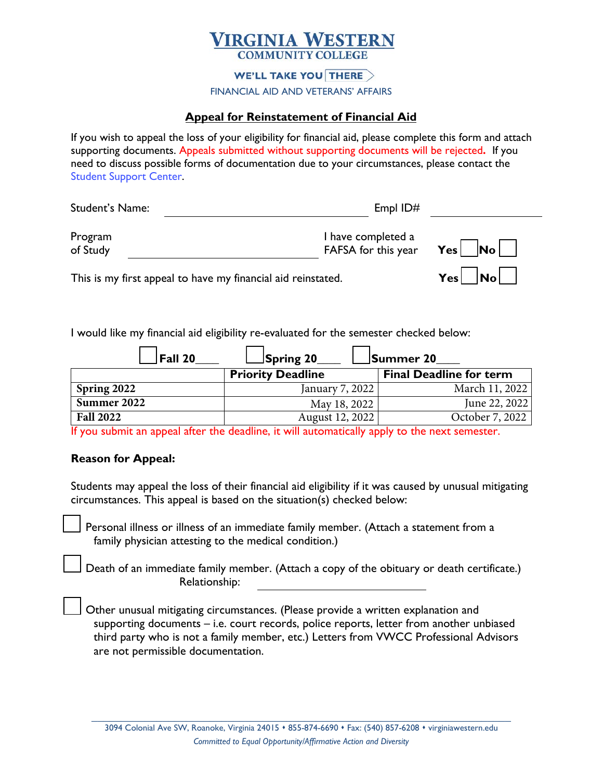## **TRGINIA WESTERN**

## **WE'LL TAKE YOU THERE**  $>$

FINANCIAL AID AND VETERANS' AFFAIRS

## **Appeal for Reinstatement of Financial Aid**

If you wish to appeal the loss of your eligibility for financial aid, please complete this form and attach supporting documents. Appeals submitted without supporting documents will be rejected**.** If you need to discuss possible forms of documentation due to your circumstances, please contact the [Student Support Center.](https://mysupport.virginiawestern.edu)

| Student's Name:     | Empl $ID#$                                |                           |
|---------------------|-------------------------------------------|---------------------------|
| Program<br>of Study | I have completed a<br>FAFSA for this year | $\vert$ No $\vert$<br>Yes |
|                     |                                           |                           |

This is my first appeal to have my financial aid reinstated. **Yes Yes** No

I would like my financial aid eligibility re-evaluated for the semester checked below:

| $ $ Fall 20      | Spring 20                | Summer 20                      |
|------------------|--------------------------|--------------------------------|
|                  | <b>Priority Deadline</b> | <b>Final Deadline for term</b> |
| Spring 2022      | January 7, 2022          | March 11, 2022                 |
| Summer 2022      | May 18, 2022             | June 22, 2022                  |
| <b>Fall 2022</b> | August 12, 2022          | October 7, 2022                |

If you submit an appeal after the deadline, it will automatically apply to the next semester.

## **Reason for Appeal:**

Students may appeal the loss of their financial aid eligibility if it was caused by unusual mitigating circumstances. This appeal is based on the situation(s) checked below:

Personal illness or illness of an immediate family member. (Attach a statement from a family physician attesting to the medical condition.)

Death of an immediate family member. (Attach a copy of the obituary or death certificate.) Relationship:

Other unusual mitigating circumstances. (Please provide a written explanation and supporting documents – i.e. court records, police reports, letter from another unbiased third party who is not a family member, etc.) Letters from VWCC Professional Advisors are not permissible documentation.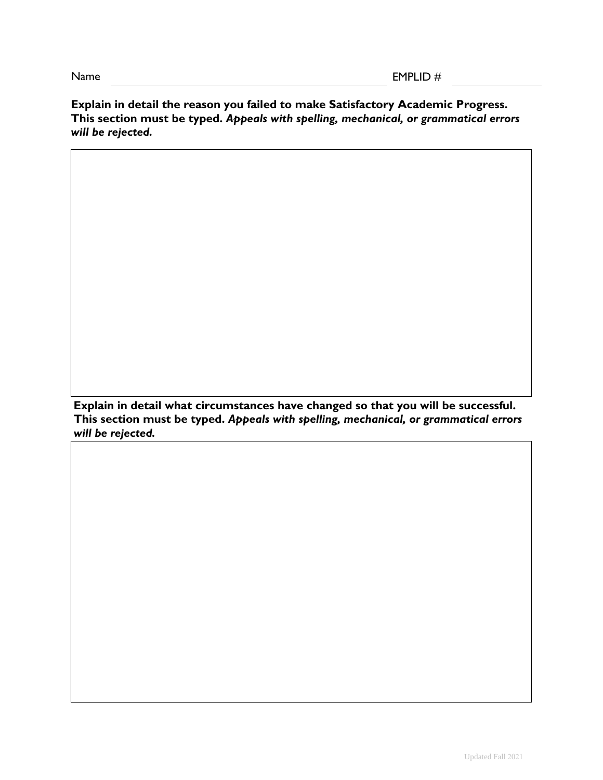**Explain in detail the reason you failed to make Satisfactory Academic Progress. This section must be typed.** *Appeals with spelling, mechanical, or grammatical errors will be rejected.*

**Explain in detail what circumstances have changed so that you will be successful. This section must be typed.** *Appeals with spelling, mechanical, or grammatical errors will be rejected.*